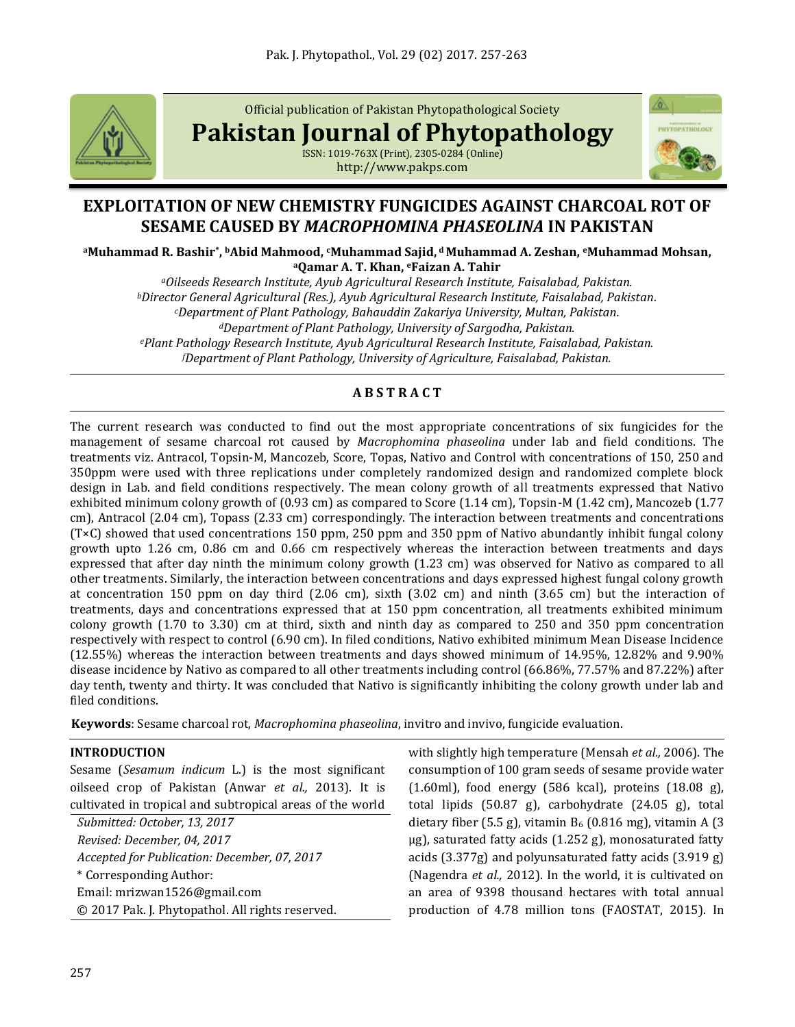

Official publication of Pakistan Phytopathological Society

**Pakistan Journal of Phytopathology**

ISSN: 1019-763X (Print), 2305-0284 (Online) http://www.pakps.com



# **EXPLOITATION OF NEW CHEMISTRY FUNGICIDES AGAINST CHARCOAL ROT OF SESAME CAUSED BY** *MACROPHOMINA PHASEOLINA* **IN PAKISTAN**

**<sup>a</sup>Muhammad R. Bashir\* , <sup>b</sup>Abid Mahmood, cMuhammad Sajid, <sup>d</sup> Muhammad A. Zeshan, eMuhammad Mohsan, <sup>a</sup>Qamar A. T. Khan, <sup>e</sup>Faizan A. Tahir**

*<sup>a</sup>Oilseeds Research Institute, Ayub Agricultural Research Institute, Faisalabad, Pakistan. <sup>b</sup>Director General Agricultural (Res.), Ayub Agricultural Research Institute, Faisalabad, Pakistan. <sup>c</sup>Department of Plant Pathology, Bahauddin Zakariya University, Multan, Pakistan. <sup>d</sup>Department of Plant Pathology, University of Sargodha, Pakistan.*

*<sup>e</sup>Plant Pathology Research Institute, Ayub Agricultural Research Institute, Faisalabad, Pakistan. <sup>f</sup>Department of Plant Pathology, University of Agriculture, Faisalabad, Pakistan.*

# **A B S T R A C T**

The current research was conducted to find out the most appropriate concentrations of six fungicides for the management of sesame charcoal rot caused by *Macrophomina phaseolina* under lab and field conditions. The treatments viz. Antracol, Topsin-M, Mancozeb, Score, Topas, Nativo and Control with concentrations of 150, 250 and 350ppm were used with three replications under completely randomized design and randomized complete block design in Lab. and field conditions respectively. The mean colony growth of all treatments expressed that Nativo exhibited minimum colony growth of (0.93 cm) as compared to Score (1.14 cm), Topsin-M (1.42 cm), Mancozeb (1.77 cm), Antracol (2.04 cm), Topass (2.33 cm) correspondingly. The interaction between treatments and concentrations (T×C) showed that used concentrations 150 ppm, 250 ppm and 350 ppm of Nativo abundantly inhibit fungal colony growth upto 1.26 cm, 0.86 cm and 0.66 cm respectively whereas the interaction between treatments and days expressed that after day ninth the minimum colony growth (1.23 cm) was observed for Nativo as compared to all other treatments. Similarly, the interaction between concentrations and days expressed highest fungal colony growth at concentration 150 ppm on day third (2.06 cm), sixth (3.02 cm) and ninth (3.65 cm) but the interaction of treatments, days and concentrations expressed that at 150 ppm concentration, all treatments exhibited minimum colony growth (1.70 to 3.30) cm at third, sixth and ninth day as compared to 250 and 350 ppm concentration respectively with respect to control (6.90 cm). In filed conditions, Nativo exhibited minimum Mean Disease Incidence (12.55%) whereas the interaction between treatments and days showed minimum of 14.95%, 12.82% and 9.90% disease incidence by Nativo as compared to all other treatments including control (66.86%, 77.57% and 87.22%) after day tenth, twenty and thirty. It was concluded that Nativo is significantly inhibiting the colony growth under lab and filed conditions.

**Keywords**: Sesame charcoal rot, *Macrophomina phaseolina*, invitro and invivo, fungicide evaluation.

## **INTRODUCTION**

Sesame (*Sesamum indicum* L.) is the most significant oilseed crop of Pakistan (Anwar *et al.,* 2013). It is cultivated in tropical and subtropical areas of the world

*Submitted: October, 13, 2017 Revised: December, 04, 2017 Accepted for Publication: December, 07, 2017* \* Corresponding Author: Email: [mrizwan1526@gmail.com](mailto:mrizwan1526@gmail.com) © 2017 Pak. J. Phytopathol. All rights reserved. with slightly high temperature (Mensah *et al.,* 2006). The consumption of 100 gram seeds of sesame provide water (1.60ml), food energy (586 kcal), proteins (18.08 g), total lipids (50.87 g), carbohydrate (24.05 g), total dietary fiber (5.5 g), vitamin  $B_6$  (0.816 mg), vitamin A (3) µg), saturated fatty acids (1.252 g), monosaturated fatty acids (3.377g) and polyunsaturated fatty acids (3.919 g) (Nagendra *et al.,* 2012). In the world, it is cultivated on an area of 9398 thousand hectares with total annual production of 4.78 million tons (FAOSTAT, 2015). In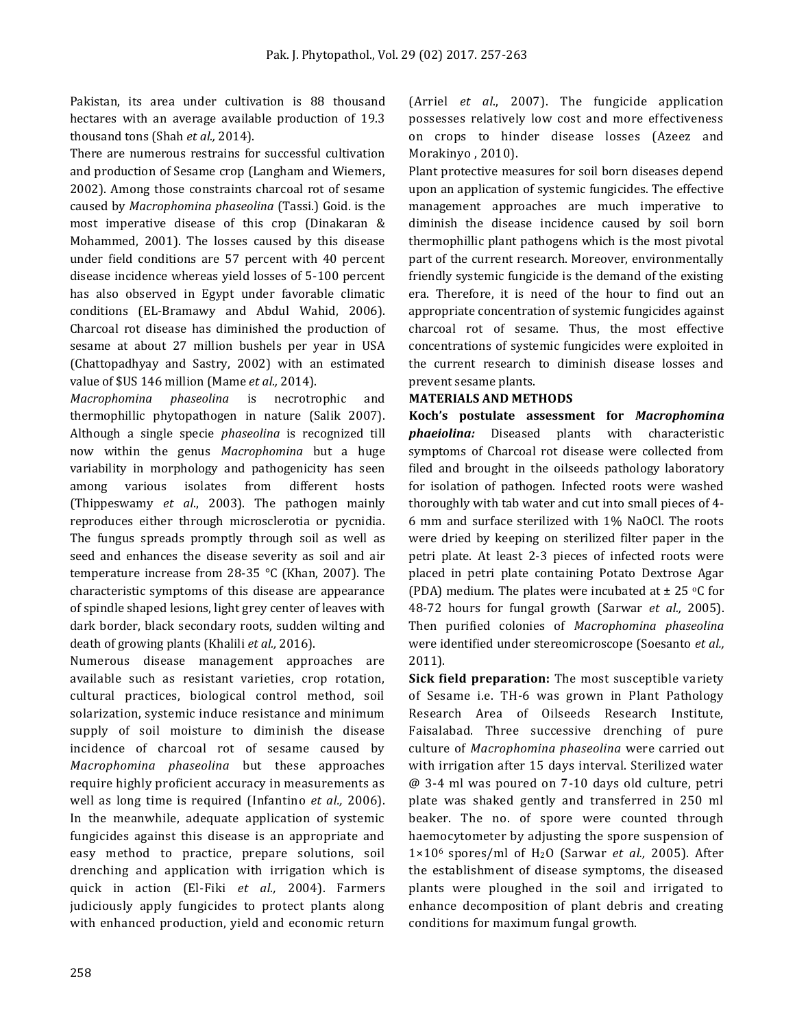Pakistan, its area under cultivation is 88 thousand hectares with an average available production of 19.3 thousand tons (Shah *et al.,* 2014).

There are numerous restrains for successful cultivation and production of Sesame crop (Langham and Wiemers, 2002). Among those constraints charcoal rot of sesame caused by *Macrophomina phaseolina* (Tassi.) Goid. is the most imperative disease of this crop (Dinakaran & Mohammed, 2001). The losses caused by this disease under field conditions are 57 percent with 40 percent disease incidence whereas yield losses of 5-100 percent has also observed in Egypt under favorable climatic conditions (EL-Bramawy and Abdul Wahid, 2006). Charcoal rot disease has diminished the production of sesame at about 27 million bushels per year in USA (Chattopadhyay and Sastry, 2002) with an estimated value of \$US 146 million (Mame *et al.,* 2014).

*Macrophomina phaseolina* is necrotrophic and thermophillic phytopathogen in nature (Salik 2007). Although a single specie *phaseolina* is recognized till now within the genus *Macrophomina* but a huge variability in morphology and pathogenicity has seen among various isolates from different hosts (Thippeswamy *et al*., 2003). The pathogen mainly reproduces either through microsclerotia or pycnidia. The fungus spreads promptly through soil as well as seed and enhances the disease severity as soil and air temperature increase from 28-35 °C (Khan, 2007). The characteristic symptoms of this disease are appearance of spindle shaped lesions, light grey center of leaves with dark border, black secondary roots, sudden wilting and death of growing plants (Khalili *et al.,* 2016).

Numerous disease management approaches are available such as resistant varieties, crop rotation, cultural practices, biological control method, soil solarization, systemic induce resistance and minimum supply of soil moisture to diminish the disease incidence of charcoal rot of sesame caused by *Macrophomina phaseolina* but these approaches require highly proficient accuracy in measurements as well as long time is required (Infantino *et al.,* 2006). In the meanwhile, adequate application of systemic fungicides against this disease is an appropriate and easy method to practice, prepare solutions, soil drenching and application with irrigation which is quick in action (El-Fiki *et al.,* 2004). Farmers judiciously apply fungicides to protect plants along with enhanced production, yield and economic return (Arriel *et al*., 2007). The fungicide application possesses relatively low cost and more effectiveness on crops to hinder disease losses (Azeez and Morakinyo , 2010).

Plant protective measures for soil born diseases depend upon an application of systemic fungicides. The effective management approaches are much imperative to diminish the disease incidence caused by soil born thermophillic plant pathogens which is the most pivotal part of the current research. Moreover, environmentally friendly systemic fungicide is the demand of the existing era. Therefore, it is need of the hour to find out an appropriate concentration of systemic fungicides against charcoal rot of sesame. Thus, the most effective concentrations of systemic fungicides were exploited in the current research to diminish disease losses and prevent sesame plants.

## **MATERIALS AND METHODS**

**Koch's postulate assessment for** *Macrophomina phaeiolina:* Diseased plants with characteristic symptoms of Charcoal rot disease were collected from filed and brought in the oilseeds pathology laboratory for isolation of pathogen. Infected roots were washed thoroughly with tab water and cut into small pieces of 4- 6 mm and surface sterilized with 1% NaOCl. The roots were dried by keeping on sterilized filter paper in the petri plate. At least 2-3 pieces of infected roots were placed in petri plate containing Potato Dextrose Agar (PDA) medium. The plates were incubated at  $\pm$  25 °C for 48-72 hours for fungal growth (Sarwar *et al.,* 2005). Then purified colonies of *Macrophomina phaseolina* were identified under stereomicroscope (Soesanto *et al.,* 2011).

**Sick field preparation:** The most susceptible variety of Sesame i.e. TH-6 was grown in Plant Pathology Research Area of Oilseeds Research Institute, Faisalabad. Three successive drenching of pure culture of *Macrophomina phaseolina* were carried out with irrigation after 15 days interval. Sterilized water @ 3-4 ml was poured on 7-10 days old culture, petri plate was shaked gently and transferred in 250 ml beaker. The no. of spore were counted through haemocytometer by adjusting the spore suspension of 1×106 spores/ml of H2O (Sarwar *et al.,* 2005). After the establishment of disease symptoms, the diseased plants were ploughed in the soil and irrigated to enhance decomposition of plant debris and creating conditions for maximum fungal growth.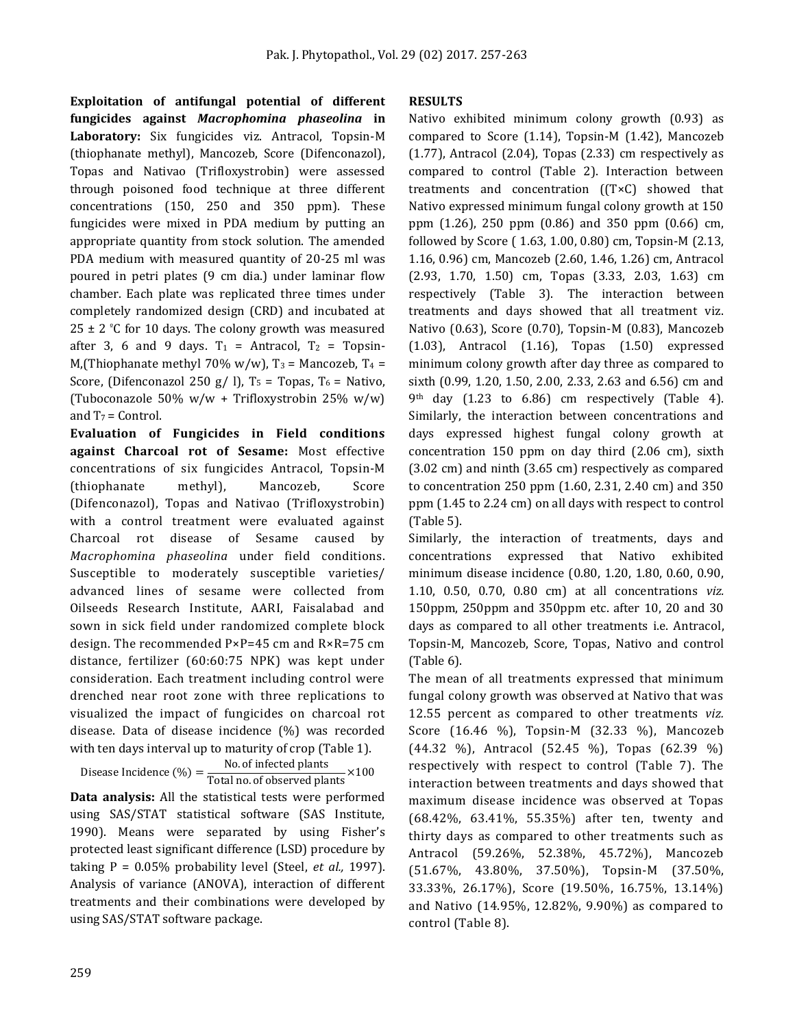**Exploitation of antifungal potential of different fungicides against** *Macrophomina phaseolina* **in Laboratory:** Six fungicides viz. Antracol, Topsin-M (thiophanate methyl), Mancozeb, Score (Difenconazol), Topas and Nativao (Trifloxystrobin) were assessed through poisoned food technique at three different concentrations (150, 250 and 350 ppm). These fungicides were mixed in PDA medium by putting an appropriate quantity from stock solution. The amended PDA medium with measured quantity of 20-25 ml was poured in petri plates (9 cm dia.) under laminar flow chamber. Each plate was replicated three times under completely randomized design (CRD) and incubated at  $25 \pm 2$  °C for 10 days. The colony growth was measured after 3, 6 and 9 days.  $T_1$  = Antracol,  $T_2$  = Topsin-M,(Thiophanate methyl 70% w/w),  $T_3$  = Mancozeb,  $T_4$  = Score, (Difenconazol 250 g/ l),  $T_5$  = Topas,  $T_6$  = Nativo, (Tuboconazole 50% w/w + Trifloxystrobin 25% w/w) and  $T_7$  = Control.

**Evaluation of Fungicides in Field conditions against Charcoal rot of Sesame:** Most effective concentrations of six fungicides Antracol, Topsin-M (thiophanate methyl), Mancozeb, Score (Difenconazol), Topas and Nativao (Trifloxystrobin) with a control treatment were evaluated against Charcoal rot disease of Sesame caused by *Macrophomina phaseolina* under field conditions. Susceptible to moderately susceptible varieties/ advanced lines of sesame were collected from Oilseeds Research Institute, AARI, Faisalabad and sown in sick field under randomized complete block design. The recommended P×P=45 cm and R×R=75 cm distance, fertilizer (60:60:75 NPK) was kept under consideration. Each treatment including control were drenched near root zone with three replications to visualized the impact of fungicides on charcoal rot disease. Data of disease incidence (%) was recorded with ten days interval up to maturity of crop (Table 1).

Disease Incidence (%) =  $\frac{\text{No. of infected plants}}{\text{Total no. of observed plants}} \times 100$ 

**Data analysis:** All the statistical tests were performed using SAS/STAT statistical software (SAS Institute, 1990). Means were separated by using Fisher's protected least significant difference (LSD) procedure by taking P = 0.05% probability level (Steel, *et al.,* 1997). Analysis of variance (ANOVA), interaction of different treatments and their combinations were developed by using SAS/STAT software package.

#### **RESULTS**

Nativo exhibited minimum colony growth (0.93) as compared to Score (1.14), Topsin-M (1.42), Mancozeb  $(1.77)$ , Antracol  $(2.04)$ , Topas  $(2.33)$  cm respectively as compared to control (Table 2). Interaction between treatments and concentration ((T×C) showed that Nativo expressed minimum fungal colony growth at 150 ppm (1.26), 250 ppm (0.86) and 350 ppm (0.66) cm, followed by Score ( 1.63, 1.00, 0.80) cm, Topsin-M (2.13, 1.16, 0.96) cm, Mancozeb (2.60, 1.46, 1.26) cm, Antracol (2.93, 1.70, 1.50) cm, Topas (3.33, 2.03, 1.63) cm respectively (Table 3). The interaction between treatments and days showed that all treatment viz. Nativo (0.63), Score (0.70), Topsin-M (0.83), Mancozeb (1.03), Antracol (1.16), Topas (1.50) expressed minimum colony growth after day three as compared to sixth (0.99, 1.20, 1.50, 2.00, 2.33, 2.63 and 6.56) cm and 9th day (1.23 to 6.86) cm respectively (Table 4). Similarly, the interaction between concentrations and days expressed highest fungal colony growth at concentration 150 ppm on day third (2.06 cm), sixth (3.02 cm) and ninth (3.65 cm) respectively as compared to concentration 250 ppm (1.60, 2.31, 2.40 cm) and 350 ppm (1.45 to 2.24 cm) on all days with respect to control (Table 5).

Similarly, the interaction of treatments, days and concentrations expressed that Nativo exhibited minimum disease incidence (0.80, 1.20, 1.80, 0.60, 0.90, 1.10, 0.50, 0.70, 0.80 cm) at all concentrations *viz.* 150ppm, 250ppm and 350ppm etc. after 10, 20 and 30 days as compared to all other treatments i.e. Antracol, Topsin-M, Mancozeb, Score, Topas, Nativo and control (Table 6).

The mean of all treatments expressed that minimum fungal colony growth was observed at Nativo that was 12.55 percent as compared to other treatments *viz.* Score (16.46 %), Topsin-M (32.33 %), Mancozeb (44.32 %), Antracol (52.45 %), Topas (62.39 %) respectively with respect to control (Table 7). The interaction between treatments and days showed that maximum disease incidence was observed at Topas (68.42%, 63.41%, 55.35%) after ten, twenty and thirty days as compared to other treatments such as Antracol (59.26%, 52.38%, 45.72%), Mancozeb (51.67%, 43.80%, 37.50%), Topsin-M (37.50%, 33.33%, 26.17%), Score (19.50%, 16.75%, 13.14%) and Nativo (14.95%, 12.82%, 9.90%) as compared to control (Table 8).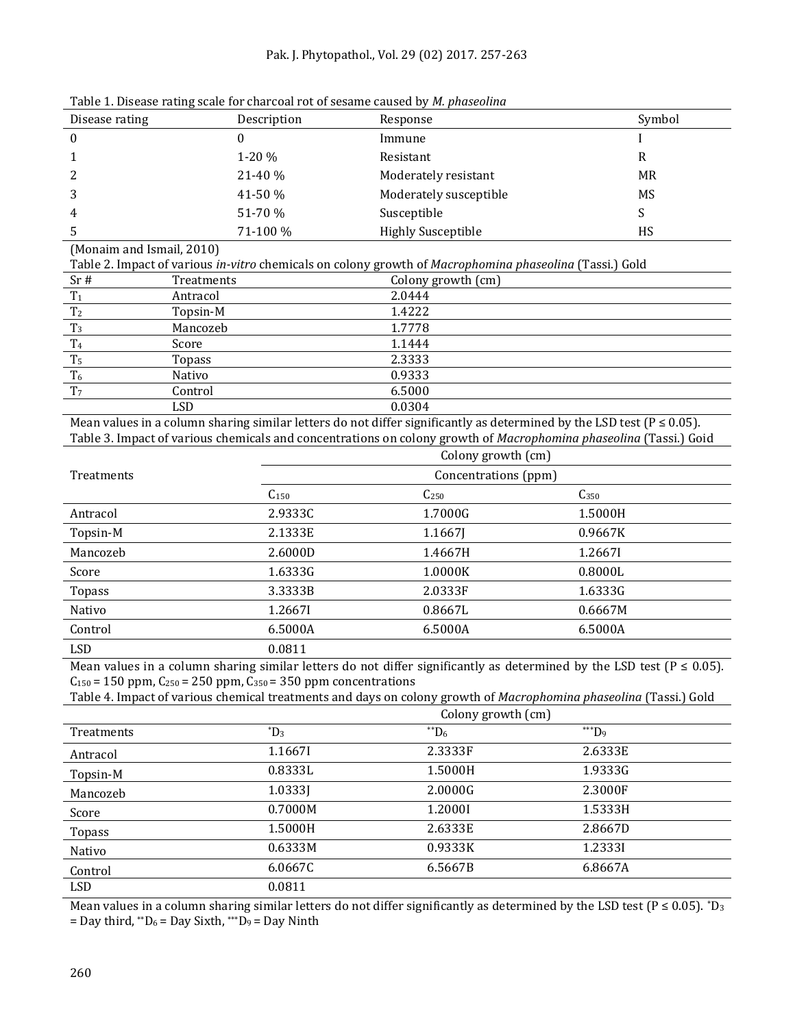#### Pak. J. Phytopathol., Vol. 29 (02) 2017. 257-263

|                           |              |                                                    | bic 1. Discuse ruting scare for chargeal rot of sesante caused by <i>in phaseoim</i> a                                      |                                                                                                                   |  |  |  |
|---------------------------|--------------|----------------------------------------------------|-----------------------------------------------------------------------------------------------------------------------------|-------------------------------------------------------------------------------------------------------------------|--|--|--|
| Disease rating            |              | Description                                        | Response                                                                                                                    | Symbol                                                                                                            |  |  |  |
| $\boldsymbol{0}$          | $\mathbf{0}$ | Immune                                             |                                                                                                                             |                                                                                                                   |  |  |  |
| 1                         |              | 1-20 %                                             | Resistant                                                                                                                   | $\mathbb{R}$                                                                                                      |  |  |  |
| 2                         |              | 21-40 %                                            | Moderately resistant                                                                                                        | <b>MR</b>                                                                                                         |  |  |  |
| 3                         |              | 41-50 %                                            | Moderately susceptible                                                                                                      | MS                                                                                                                |  |  |  |
| 4                         |              | 51-70 %                                            | Susceptible                                                                                                                 | S                                                                                                                 |  |  |  |
| 5                         |              | 71-100 %<br><b>Highly Susceptible</b><br><b>HS</b> |                                                                                                                             |                                                                                                                   |  |  |  |
| (Monaim and Ismail, 2010) |              |                                                    |                                                                                                                             |                                                                                                                   |  |  |  |
|                           |              |                                                    | Table 2. Impact of various in-vitro chemicals on colony growth of Macrophomina phaseolina (Tassi.) Gold                     |                                                                                                                   |  |  |  |
| Sr#                       | Treatments   |                                                    | Colony growth (cm)                                                                                                          |                                                                                                                   |  |  |  |
| T <sub>1</sub>            | Antracol     |                                                    | 2.0444                                                                                                                      |                                                                                                                   |  |  |  |
| T <sub>2</sub>            | Topsin-M     |                                                    | 1.4222                                                                                                                      |                                                                                                                   |  |  |  |
| T <sub>3</sub>            | Mancozeb     |                                                    | 1.7778                                                                                                                      |                                                                                                                   |  |  |  |
| T <sub>4</sub>            | Score        |                                                    | 1.1444                                                                                                                      |                                                                                                                   |  |  |  |
| T <sub>5</sub>            | Topass       | 2.3333                                             |                                                                                                                             |                                                                                                                   |  |  |  |
| T <sub>6</sub>            | Nativo       | 0.9333                                             |                                                                                                                             |                                                                                                                   |  |  |  |
| T <sub>7</sub>            | Control      | 6.5000                                             |                                                                                                                             |                                                                                                                   |  |  |  |
|                           | <b>LSD</b>   |                                                    | 0.0304                                                                                                                      |                                                                                                                   |  |  |  |
|                           |              |                                                    | Mean values in a column sharing similar letters do not differ significantly as determined by the LSD test ( $P \le 0.05$ ). |                                                                                                                   |  |  |  |
|                           |              |                                                    | Colony growth (cm)                                                                                                          | Table 3. Impact of various chemicals and concentrations on colony growth of Macrophomina phaseolina (Tassi.) Goid |  |  |  |
|                           |              |                                                    |                                                                                                                             |                                                                                                                   |  |  |  |
| Treatments                |              |                                                    | Concentrations (ppm)                                                                                                        |                                                                                                                   |  |  |  |
|                           |              | $C_{150}$                                          | C <sub>250</sub>                                                                                                            | $C_{350}$                                                                                                         |  |  |  |
| Antracol                  |              | 2.9333C                                            | 1.7000G                                                                                                                     | 1.5000H                                                                                                           |  |  |  |
| Topsin-M                  |              | 2.1333E                                            | 1.1667J                                                                                                                     | 0.9667K                                                                                                           |  |  |  |
| Mancozeb                  |              | 2.6000D                                            | 1.4667H                                                                                                                     | 1.26671                                                                                                           |  |  |  |
| Score                     |              | 1.6333G                                            | 1.0000K                                                                                                                     | 0.8000L                                                                                                           |  |  |  |
| <b>Topass</b>             |              | 3.3333B                                            | 2.0333F                                                                                                                     | 1.6333G                                                                                                           |  |  |  |
| Nativo                    |              | 1.26671                                            | 0.8667L                                                                                                                     | 0.6667M                                                                                                           |  |  |  |
| Control                   |              | 6.5000A                                            | 6.5000A                                                                                                                     | 6.5000A                                                                                                           |  |  |  |
| <b>LSD</b>                |              | 0.0811                                             |                                                                                                                             |                                                                                                                   |  |  |  |

Table 1. Disease rating scale for charcoal rot of sesame caused by *M. phaseolina*

Mean values in a column sharing similar letters do not differ significantly as determined by the LSD test ( $P \le 0.05$ ).  $C_{150}$  = 150 ppm,  $C_{250}$  = 250 ppm,  $C_{350}$  = 350 ppm concentrations

Table 4. Impact of various chemical treatments and days on colony growth of *Macrophomina phaseolina* (Tassi.) Gold

|                   | Colony growth (cm) |          |             |  |
|-------------------|--------------------|----------|-------------|--|
| <b>Treatments</b> | $^{\ast}D_3$       | $*$ $D6$ | $*^{**}D_9$ |  |
| Antracol          | 1.1667I            | 2.3333F  | 2.6333E     |  |
| Topsin-M          | 0.8333L            | 1.5000H  | 1.9333G     |  |
| Mancozeb          | 1.03331            | 2.0000G  | 2.3000F     |  |
| Score             | 0.7000M            | 1.2000I  | 1.5333H     |  |
| Topass            | 1.5000H            | 2.6333E  | 2.8667D     |  |
| Nativo            | 0.6333M            | 0.9333K  | 1.23331     |  |
| Control           | 6.0667C            | 6.5667B  | 6.8667A     |  |
| LSD               | 0.0811             |          |             |  |

Mean values in a column sharing similar letters do not differ significantly as determined by the LSD test ( $P \le 0.05$ ). \*D<sub>3</sub> = Day third, \*\* $D_6$  = Day Sixth, \*\*\* $D_9$  = Day Ninth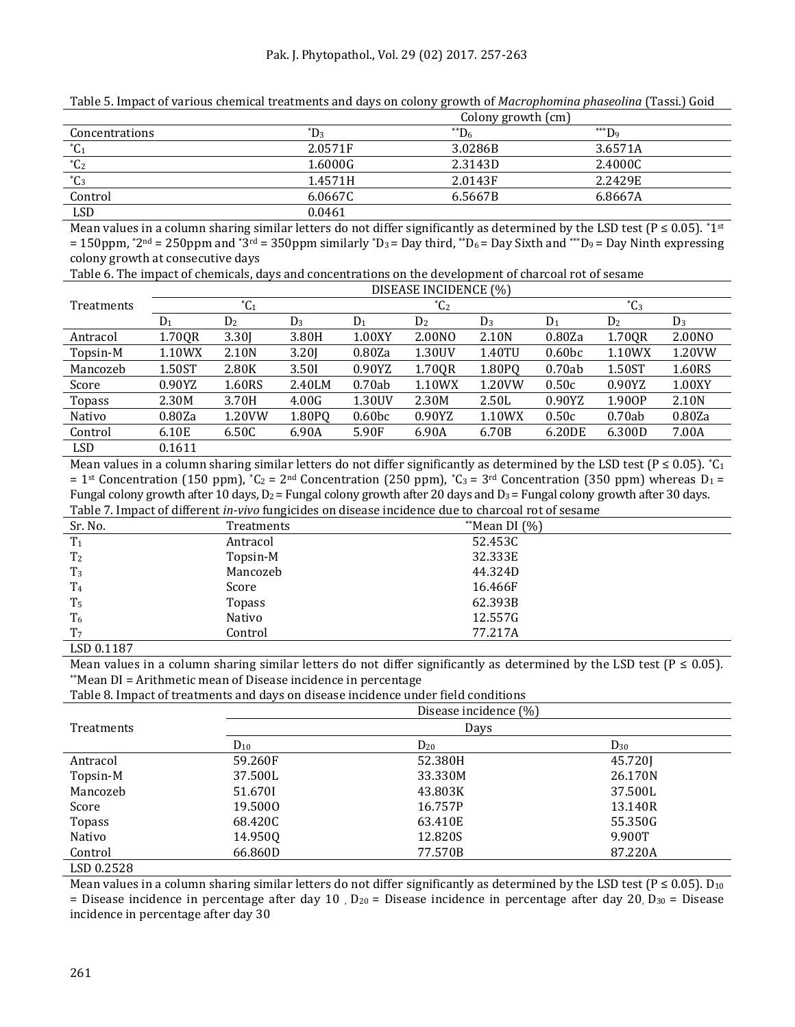|                          |                    | .               | .            |  |
|--------------------------|--------------------|-----------------|--------------|--|
|                          | Colony growth (cm) |                 |              |  |
| Concentrations           | $^{\ast}D_3$       | $\rm{^{**}D_6}$ | $H^{***}D_9$ |  |
| $^{\ast}$ C <sub>1</sub> | 2.0571F            | 3.0286B         | 3.6571A      |  |
| $^{\ast}C_{2}$           | 1.6000G            | 2.3143D         | 2.4000C      |  |
| $^{\ast}C_3$             | 1.4571H            | 2.0143F         | 2.2429E      |  |
| Control                  | 6.0667C            | 6.5667B         | 6.8667A      |  |
| <b>LSD</b>               | 0.0461             |                 |              |  |

Table 5. Impact of various chemical treatments and days on colony growth of *Macrophomina phaseolina* (Tassi.) Goid

Mean values in a column sharing similar letters do not differ significantly as determined by the LSD test ( $P \le 0.05$ ). \*1st  $= 150$ ppm,  $*2^{nd} = 250$ ppm and  $*3^{rd} = 350$ ppm similarly  $*D_3 = Day$  third,  $*D_6 = Day$  Sixth and  $*D_9 = Day$  Ninth expressing colony growth at consecutive days

Table 6. The impact of chemicals, days and concentrations on the development of charcoal rot of sesame

|            | DISEASE INCIDENCE (%) |                          |        |                    |                          |                     |                    |                |        |
|------------|-----------------------|--------------------------|--------|--------------------|--------------------------|---------------------|--------------------|----------------|--------|
| Treatments |                       | $^{\ast}$ C <sub>1</sub> |        |                    | $^{\ast}$ C <sub>2</sub> |                     |                    | $^{\ast}C_{3}$ |        |
|            | $D_1$                 | D <sub>2</sub>           | $D_3$  | $D_1$              | D <sub>2</sub>           | $D_3$               | $D_1$              | D <sub>2</sub> | $D_3$  |
| Antracol   | 1.70QR                | 3.30                     | 3.80H  | 1.00XY             | 2.00NO                   | 2.10N               | 0.80Za             | 1.70QR         | 2.00NO |
| Topsin-M   | 1.10WX                | 2.10N                    | 3.201  | 0.80Za             | 1.30UV                   | 1.40TU              | 0.60 <sub>bc</sub> | 1.10WX         | 1.20VW |
| Mancozeb   | 1.50ST                | 2.80K                    | 3.50I  | 0.90YZ             | 1.70QR                   | 1.80PQ              | 0.70ab             | 1.50ST         | 1.60RS |
| Score      | 0.90YZ                | 1.60RS                   | 2.40LM | 0.70ab             | 1.10WX                   | 1.20 <sub>V</sub> W | 0.50c              | 0.90YZ         | 1.00XY |
| Topass     | 2.30M                 | 3.70H                    | 4.00G  | 1.30UV             | 2.30M                    | 2.50L               | 0.90YZ             | 1.900P         | 2.10N  |
| Nativo     | 0.80Za                | 1.20VW                   | 1.80PQ | 0.60 <sub>bc</sub> | 0.90YZ                   | 1.10WX              | 0.50c              | 0.70ab         | 0.80Za |
| Control    | 6.10E                 | 6.50C                    | 6.90A  | 5.90F              | 6.90A                    | 6.70B               | 6.20DE             | 6.300D         | 7.00A  |
| <b>LSD</b> | 0.1611                |                          |        |                    |                          |                     |                    |                |        |

Mean values in a column sharing similar letters do not differ significantly as determined by the LSD test ( $P \le 0.05$ ).  ${}^*C_1$ = 1<sup>st</sup> Concentration (150 ppm),  $^{\ast}C_2$  = 2<sup>nd</sup> Concentration (250 ppm),  $^{\ast}C_3$  = 3<sup>rd</sup> Concentration (350 ppm) whereas D<sub>1</sub> = Fungal colony growth after 10 days,  $D_2$  = Fungal colony growth after 20 days and  $D_3$  = Fungal colony growth after 30 days. Table 7. Impact of different *in-vivo* fungicides on disease incidence due to charcoal rot of sesame

| rable / Hillpace of alliel ene in 1970 rangieraco on albeade incluence auc eo chal coal Foe of bedaine |            |                    |  |  |  |
|--------------------------------------------------------------------------------------------------------|------------|--------------------|--|--|--|
| Sr. No.                                                                                                | Treatments | $*$ Mean DI $(\%)$ |  |  |  |
| T <sub>1</sub>                                                                                         | Antracol   | 52.453C            |  |  |  |
| T <sub>2</sub>                                                                                         | Topsin-M   | 32.333E            |  |  |  |
| $T_3$                                                                                                  | Mancozeb   | 44.324D            |  |  |  |
| T <sub>4</sub>                                                                                         | Score      | 16.466F            |  |  |  |
| T <sub>5</sub>                                                                                         | Topass     | 62.393B            |  |  |  |
| T <sub>6</sub>                                                                                         | Nativo     | 12.557G            |  |  |  |
| T <sub>7</sub>                                                                                         | Control    | 77.217A            |  |  |  |
| LSD 0.1187                                                                                             |            |                    |  |  |  |

Mean values in a column sharing similar letters do not differ significantly as determined by the LSD test ( $P \le 0.05$ ). \*\*Mean DI = Arithmetic mean of Disease incidence in percentage

Table 8. Impact of treatments and days on disease incidence under field conditions

|                   | Disease incidence (%)<br>Days |          |          |  |  |
|-------------------|-------------------------------|----------|----------|--|--|
| <b>Treatments</b> |                               |          |          |  |  |
|                   | $D_{10}$                      | $D_{20}$ | $D_{30}$ |  |  |
| Antracol          | 59.260F                       | 52.380H  | 45.720]  |  |  |
| Topsin-M          | 37.500L                       | 33.330M  | 26.170N  |  |  |
| Mancozeb          | 51.6701                       | 43.803K  | 37.500L  |  |  |
| Score             | 19.5000                       | 16.757P  | 13.140R  |  |  |
| <b>Topass</b>     | 68.420C                       | 63.410E  | 55.350G  |  |  |
| Nativo            | 14.950Q                       | 12.820S  | 9.900T   |  |  |
| Control           | 66.860D                       | 77.570B  | 87.220A  |  |  |
| LSD 0.2528        |                               |          |          |  |  |

Mean values in a column sharing similar letters do not differ significantly as determined by the LSD test ( $P \le 0.05$ ). D<sub>10</sub> = Disease incidence in percentage after day 10,  $D_{20}$  = Disease incidence in percentage after day 20,  $D_{30}$  = Disease incidence in percentage after day 30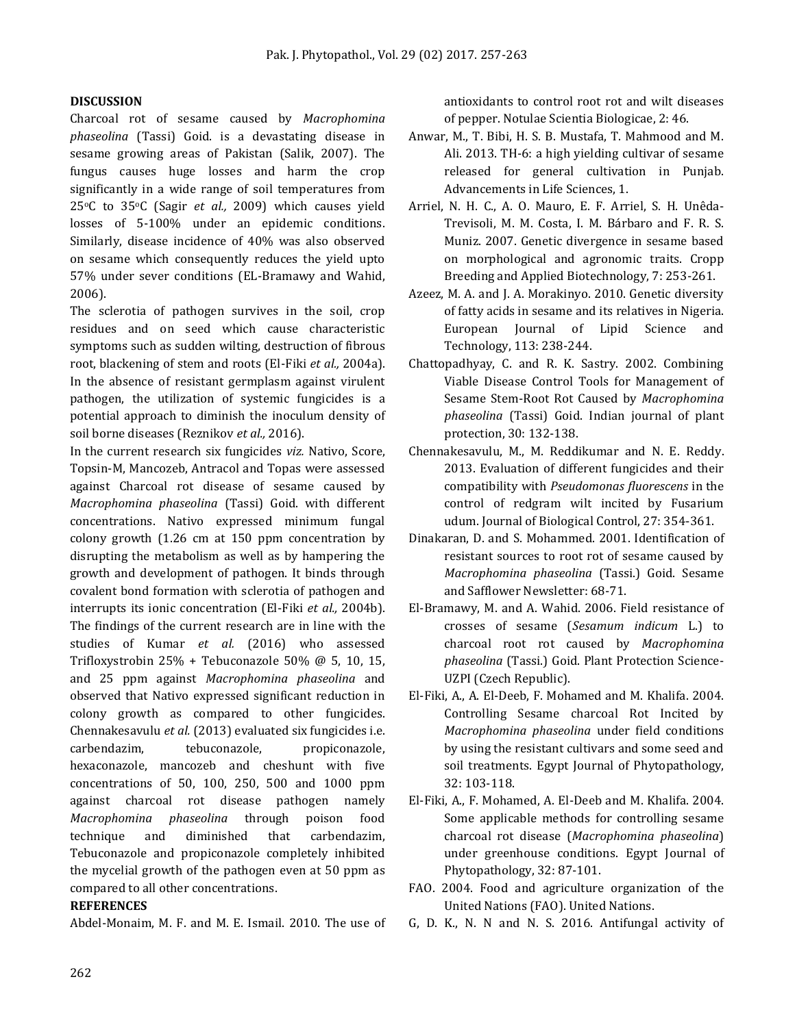#### **DISCUSSION**

Charcoal rot of sesame caused by *Macrophomina phaseolina* (Tassi) Goid. is a devastating disease in sesame growing areas of Pakistan (Salik, 2007). The fungus causes huge losses and harm the crop significantly in a wide range of soil temperatures from 25oC to 35oC (Sagir *et al.,* 2009) which causes yield losses of 5-100% under an epidemic conditions. Similarly, disease incidence of 40% was also observed on sesame which consequently reduces the yield upto 57% under sever conditions (EL-Bramawy and Wahid, 2006).

The sclerotia of pathogen survives in the soil, crop residues and on seed which cause characteristic symptoms such as sudden wilting, destruction of fibrous root, blackening of stem and roots (El-Fiki *et al.,* 2004a). In the absence of resistant germplasm against virulent pathogen, the utilization of systemic fungicides is a potential approach to diminish the inoculum density of soil borne diseases (Reznikov *et al.,* 2016).

In the current research six fungicides *viz.* Nativo, Score, Topsin-M, Mancozeb, Antracol and Topas were assessed against Charcoal rot disease of sesame caused by *Macrophomina phaseolina* (Tassi) Goid. with different concentrations. Nativo expressed minimum fungal colony growth (1.26 cm at 150 ppm concentration by disrupting the metabolism as well as by hampering the growth and development of pathogen. It binds through covalent bond formation with sclerotia of pathogen and interrupts its ionic concentration (El-Fiki *et al.,* 2004b). The findings of the current research are in line with the studies of Kumar *et al.* (2016) who assessed Trifloxystrobin 25% + Tebuconazole 50% @ 5, 10, 15, and 25 ppm against *Macrophomina phaseolina* and observed that Nativo expressed significant reduction in colony growth as compared to other fungicides. Chennakesavulu *et al.* (2013) evaluated six fungicides i.e. carbendazim, tebuconazole, propiconazole, hexaconazole, mancozeb and cheshunt with five concentrations of 50, 100, 250, 500 and 1000 ppm against charcoal rot disease pathogen namely *Macrophomina phaseolina* through poison food technique and diminished that carbendazim, Tebuconazole and propiconazole completely inhibited the mycelial growth of the pathogen even at 50 ppm as compared to all other concentrations.

#### **REFERENCES**

Abdel-Monaim, M. F. and M. E. Ismail. 2010. The use of

antioxidants to control root rot and wilt diseases of pepper. Notulae Scientia Biologicae, 2: 46.

- Anwar, M., T. Bibi, H. S. B. Mustafa, T. Mahmood and M. Ali. 2013. TH-6: a high yielding cultivar of sesame released for general cultivation in Punjab. Advancements in Life Sciences, 1.
- Arriel, N. H. C., A. O. Mauro, E. F. Arriel, S. H. Unêda-Trevisoli, M. M. Costa, I. M. Bárbaro and F. R. S. Muniz. 2007. Genetic divergence in sesame based on morphological and agronomic traits. Cropp Breeding and Applied Biotechnology, 7: 253-261.
- Azeez, M. A. and J. A. Morakinyo. 2010. Genetic diversity of fatty acids in sesame and its relatives in Nigeria. European Journal of Lipid Science and Technology, 113: 238-244.
- Chattopadhyay, C. and R. K. Sastry. 2002. Combining Viable Disease Control Tools for Management of Sesame Stem-Root Rot Caused by *Macrophomina phaseolina* (Tassi) Goid. Indian journal of plant protection, 30: 132-138.
- Chennakesavulu, M., M. Reddikumar and N. E. Reddy. 2013. Evaluation of different fungicides and their compatibility with *Pseudomonas fluorescens* in the control of redgram wilt incited by Fusarium udum. Journal of Biological Control, 27: 354-361.
- Dinakaran, D. and S. Mohammed. 2001. Identification of resistant sources to root rot of sesame caused by *Macrophomina phaseolina* (Tassi.) Goid. Sesame and Safflower Newsletter: 68-71.
- El-Bramawy, M. and A. Wahid. 2006. Field resistance of crosses of sesame (*Sesamum indicum* L.) to charcoal root rot caused by *Macrophomina phaseolina* (Tassi.) Goid. Plant Protection Science-UZPI (Czech Republic).
- El-Fiki, A., A. El-Deeb, F. Mohamed and M. Khalifa. 2004. Controlling Sesame charcoal Rot Incited by *Macrophomina phaseolina* under field conditions by using the resistant cultivars and some seed and soil treatments. Egypt Journal of Phytopathology, 32: 103-118.
- El-Fiki, A., F. Mohamed, A. El-Deeb and M. Khalifa. 2004. Some applicable methods for controlling sesame charcoal rot disease (*Macrophomina phaseolina*) under greenhouse conditions. Egypt Journal of Phytopathology, 32: 87-101.
- FAO. 2004. Food and agriculture organization of the United Nations (FAO). United Nations.
- G, D. K., N. N and N. S. 2016. Antifungal activity of